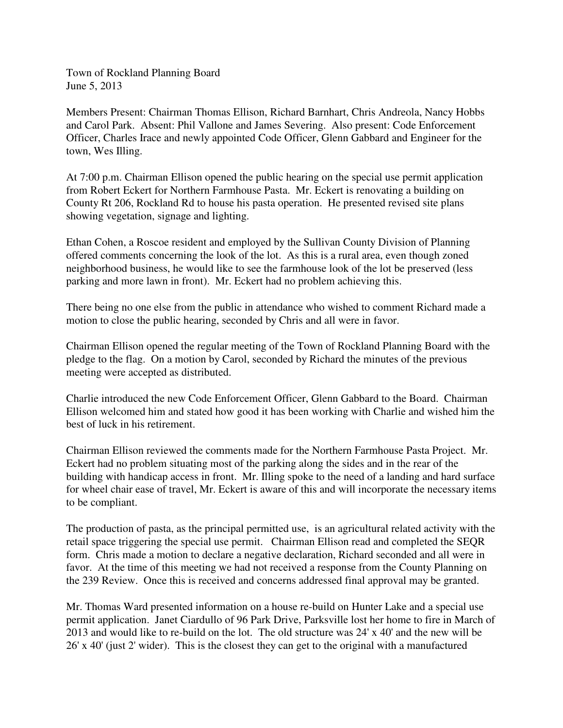Town of Rockland Planning Board June 5, 2013

Members Present: Chairman Thomas Ellison, Richard Barnhart, Chris Andreola, Nancy Hobbs and Carol Park. Absent: Phil Vallone and James Severing. Also present: Code Enforcement Officer, Charles Irace and newly appointed Code Officer, Glenn Gabbard and Engineer for the town, Wes Illing.

At 7:00 p.m. Chairman Ellison opened the public hearing on the special use permit application from Robert Eckert for Northern Farmhouse Pasta. Mr. Eckert is renovating a building on County Rt 206, Rockland Rd to house his pasta operation. He presented revised site plans showing vegetation, signage and lighting.

Ethan Cohen, a Roscoe resident and employed by the Sullivan County Division of Planning offered comments concerning the look of the lot. As this is a rural area, even though zoned neighborhood business, he would like to see the farmhouse look of the lot be preserved (less parking and more lawn in front). Mr. Eckert had no problem achieving this.

There being no one else from the public in attendance who wished to comment Richard made a motion to close the public hearing, seconded by Chris and all were in favor.

Chairman Ellison opened the regular meeting of the Town of Rockland Planning Board with the pledge to the flag. On a motion by Carol, seconded by Richard the minutes of the previous meeting were accepted as distributed.

Charlie introduced the new Code Enforcement Officer, Glenn Gabbard to the Board. Chairman Ellison welcomed him and stated how good it has been working with Charlie and wished him the best of luck in his retirement.

Chairman Ellison reviewed the comments made for the Northern Farmhouse Pasta Project. Mr. Eckert had no problem situating most of the parking along the sides and in the rear of the building with handicap access in front. Mr. Illing spoke to the need of a landing and hard surface for wheel chair ease of travel, Mr. Eckert is aware of this and will incorporate the necessary items to be compliant.

The production of pasta, as the principal permitted use, is an agricultural related activity with the retail space triggering the special use permit. Chairman Ellison read and completed the SEQR form. Chris made a motion to declare a negative declaration, Richard seconded and all were in favor. At the time of this meeting we had not received a response from the County Planning on the 239 Review. Once this is received and concerns addressed final approval may be granted.

Mr. Thomas Ward presented information on a house re-build on Hunter Lake and a special use permit application. Janet Ciardullo of 96 Park Drive, Parksville lost her home to fire in March of 2013 and would like to re-build on the lot. The old structure was 24' x 40' and the new will be 26' x 40' (just 2' wider). This is the closest they can get to the original with a manufactured